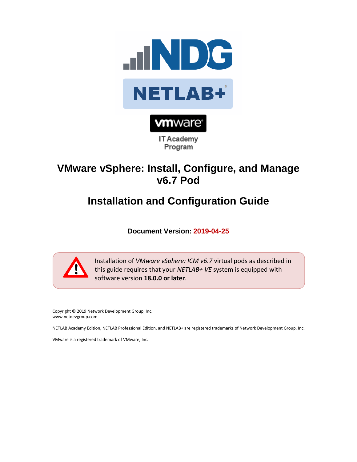



**IT Academy** Program

## **VMware vSphere: Install, Configure, and Manage v6.7 Pod**

# **Installation and Configuration Guide**

**Document Version: 2019-04-25**



Installation of *VMware vSphere: ICM v6.7* virtual pods as described in this guide requires that your *NETLAB+ VE* system is equipped with software version **18.0.0 or later**.

Copyright © 2019 Network Development Group, Inc. www.netdevgroup.com

NETLAB Academy Edition, NETLAB Professional Edition, and NETLAB+ are registered trademarks of Network Development Group, Inc.

VMware is a registered trademark of VMware, Inc.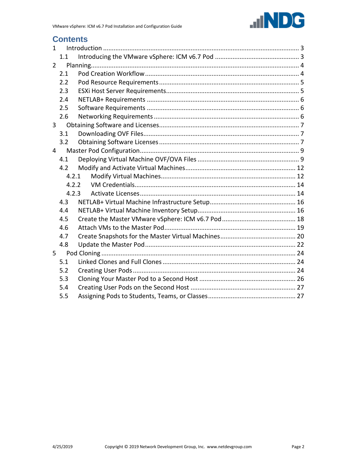

## **Contents**

| $\mathbf{1}$   |       |  |  |  |
|----------------|-------|--|--|--|
|                | 1.1   |  |  |  |
| 2              |       |  |  |  |
|                | 2.1   |  |  |  |
|                | 2.2   |  |  |  |
|                | 2.3   |  |  |  |
|                | 2.4   |  |  |  |
|                | 2.5   |  |  |  |
|                | 2.6   |  |  |  |
| $\overline{3}$ |       |  |  |  |
|                | 3.1   |  |  |  |
|                | 3.2   |  |  |  |
| 4              |       |  |  |  |
|                | 4.1   |  |  |  |
|                | 4.2   |  |  |  |
|                | 4.2.1 |  |  |  |
|                | 4.2.2 |  |  |  |
|                | 4.2.3 |  |  |  |
|                | 4.3   |  |  |  |
|                | 4.4   |  |  |  |
|                | 4.5   |  |  |  |
|                | 4.6   |  |  |  |
|                | 4.7   |  |  |  |
|                | 4.8   |  |  |  |
| 5              |       |  |  |  |
|                | 5.1   |  |  |  |
|                | 5.2   |  |  |  |
|                | 5.3   |  |  |  |
|                | 5.4   |  |  |  |
|                | 5.5   |  |  |  |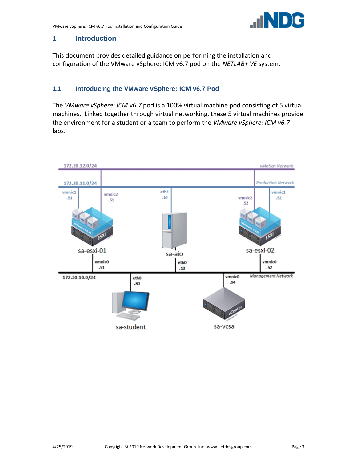

#### <span id="page-2-0"></span>**1 Introduction**

This document provides detailed guidance on performing the installation and configuration of the VMware vSphere: ICM v6.7 pod on the *NETLAB+ VE* system.

## <span id="page-2-1"></span>**1.1 Introducing the VMware vSphere: ICM v6.7 Pod**

The *VMware vSphere: ICM v6.7* pod is a 100% virtual machine pod consisting of 5 virtual machines. Linked together through virtual networking, these 5 virtual machines provide the environment for a student or a team to perform the *VMware vSphere: ICM v6.7* labs.

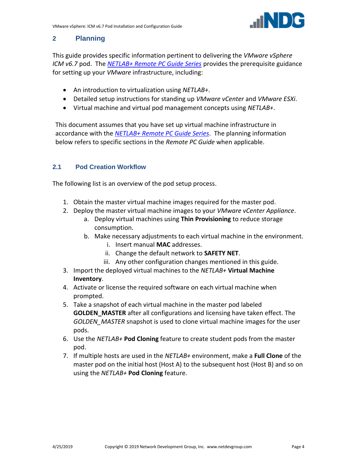

## <span id="page-3-0"></span>**2 Planning**

This guide provides specific information pertinent to delivering the *VMware vSphere ICM v6.7* pod. The *[NETLAB+ Remote PC Guide Series](http://www.netdevgroup.com/support/documentation/netlabve/)* provides the prerequisite guidance for setting up your *VMware* infrastructure, including:

- An introduction to virtualization using *NETLAB+*.
- Detailed setup instructions for standing up *VMware vCenter* and *VMware ESXi*.
- Virtual machine and virtual pod management concepts using *NETLAB+*.

This document assumes that you have set up virtual machine infrastructure in accordance with the *[NETLAB+ Remote PC Guide Series](http://www.netdevgroup.com/support/documentation/netlabve/)*. The planning information below refers to specific sections in the *Remote PC Guide* when applicable.

## <span id="page-3-1"></span>**2.1 Pod Creation Workflow**

The following list is an overview of the pod setup process.

- 1. Obtain the master virtual machine images required for the master pod.
- 2. Deploy the master virtual machine images to your *VMware vCenter Appliance*.
	- a. Deploy virtual machines using **Thin Provisioning** to reduce storage consumption.
	- b. Make necessary adjustments to each virtual machine in the environment.
		- i. Insert manual **MAC** addresses.
		- ii. Change the default network to **SAFETY NET**.
		- iii. Any other configuration changes mentioned in this guide.
- 3. Import the deployed virtual machines to the *NETLAB+* **Virtual Machine Inventory**.
- 4. Activate or license the required software on each virtual machine when prompted.
- 5. Take a snapshot of each virtual machine in the master pod labeled **GOLDEN\_MASTER** after all configurations and licensing have taken effect. The *GOLDEN\_MASTER* snapshot is used to clone virtual machine images for the user pods.
- 6. Use the *NETLAB+* **Pod Cloning** feature to create student pods from the master pod.
- 7. If multiple hosts are used in the *NETLAB+* environment, make a **Full Clone** of the master pod on the initial host (Host A) to the subsequent host (Host B) and so on using the *NETLAB+* **Pod Cloning** feature.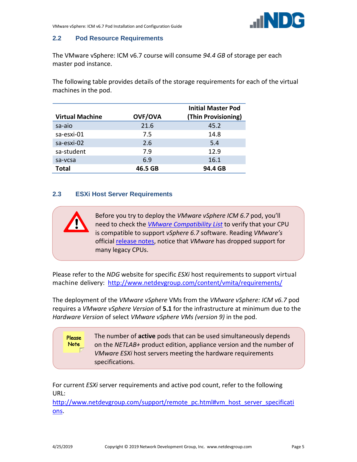

#### <span id="page-4-0"></span>**2.2 Pod Resource Requirements**

The VMware vSphere: ICM v6.7 course will consume *94.4 GB* of storage per each master pod instance.

The following table provides details of the storage requirements for each of the virtual machines in the pod.

| <b>Virtual Machine</b> | <b>OVF/OVA</b> | <b>Initial Master Pod</b><br>(Thin Provisioning) |
|------------------------|----------------|--------------------------------------------------|
| sa-aio                 | 21.6           | 45.2                                             |
| sa-esxi-01             | 7.5            | 14.8                                             |
| sa-esxi-02             | 2.6            | 5.4                                              |
| sa-student             | 7.9            | 12.9                                             |
| sa-vcsa                | 6.9            | 16.1                                             |
| <b>Total</b>           | 46.5 GB        | 94.4 GB                                          |

#### <span id="page-4-1"></span>**2.3 ESXi Host Server Requirements**

Before you try to deploy the *VMware vSphere ICM 6.7* pod, you'll need to check the *[VMware Compatibility List](https://www.vmware.com/resources/compatibility/search.php?deviceCategory=cpu)* to verify that your CPU is compatible to support *vSphere 6.7* software. Reading *VMware's* official [release notes,](https://docs.vmware.com/en/VMware-vSphere/6.7/rn/vsphere-esxi-vcenter-server-67-release-notes.html) notice that *VMware* has dropped support for many legacy CPUs.

Please refer to the *NDG* website for specific *ESXi* host requirements to support virtual machine delivery: <http://www.netdevgroup.com/content/vmita/requirements/>

The deployment of the *VMware vSphere* VMs from the *VMware vSphere: ICM v6.7* pod requires a *VMware vSphere Version* of **5.1** for the infrastructure at minimum due to the *Hardware Version* of select *VMware vSphere VMs (version 9)* in the pod.

> The number of **active** pods that can be used simultaneously depends on the *NETLAB+* product edition, appliance version and the number of *VMware ESXi* host servers meeting the hardware requirements specifications.

For current *ESXi* server requirements and active pod count, refer to the following URL:

[http://www.netdevgroup.com/support/remote\\_pc.html#vm\\_host\\_server\\_specificati](http://www.netdevgroup.com/support/remote_pc.html#vm_host_server_specifications) [ons.](http://www.netdevgroup.com/support/remote_pc.html#vm_host_server_specifications)

Please Note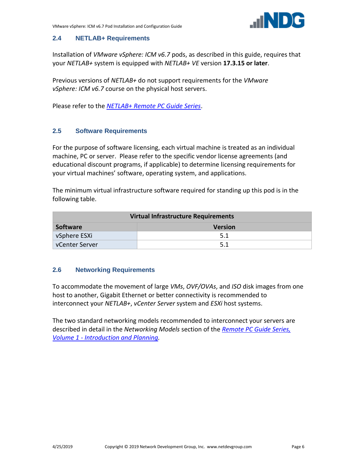#### <span id="page-5-0"></span>**2.4 NETLAB+ Requirements**

Installation of *VMware vSphere: ICM v6.7* pods, as described in this guide, requires that your *NETLAB+* system is equipped with *NETLAB+ VE* version **17.3.15 or later**.

Previous versions of *NETLAB+* do not support requirements for the *VMware vSphere: ICM v6.7* course on the physical host servers.

Please refer to the *[NETLAB+ Remote PC Guide Series](https://www.netdevgroup.com/support/documentation/netlabve/)*.

#### <span id="page-5-1"></span>**2.5 Software Requirements**

For the purpose of software licensing, each virtual machine is treated as an individual machine, PC or server. Please refer to the specific vendor license agreements (and educational discount programs, if applicable) to determine licensing requirements for your virtual machines' software, operating system, and applications.

The minimum virtual infrastructure software required for standing up this pod is in the following table.

| <b>Virtual Infrastructure Requirements</b> |    |  |  |
|--------------------------------------------|----|--|--|
| <b>Software</b><br><b>Version</b>          |    |  |  |
| vSphere ESXi                               | 51 |  |  |
| vCenter Server                             |    |  |  |

#### <span id="page-5-2"></span>**2.6 Networking Requirements**

To accommodate the movement of large *VMs*, *OVF/OVAs*, and *ISO* disk images from one host to another, Gigabit Ethernet or better connectivity is recommended to interconnect your *NETLAB+*, *vCenter Server* system and *ESXi* host systems.

The two standard networking models recommended to interconnect your servers are described in detail in the *Networking Models* section of the *[Remote PC Guide Series,](http://www.netdevgroup.com/support/documentation/NETLAB_Remote_PC_Guide_Vol_1_Introduction.pdf)  Volume 1 - [Introduction and Planning.](http://www.netdevgroup.com/support/documentation/NETLAB_Remote_PC_Guide_Vol_1_Introduction.pdf)*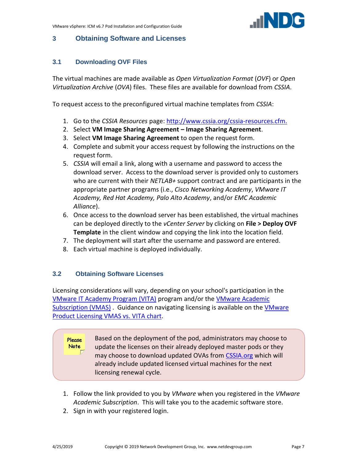

## <span id="page-6-0"></span>**3 Obtaining Software and Licenses**

## <span id="page-6-1"></span>**3.1 Downloading OVF Files**

The virtual machines are made available as *Open Virtualization Format* (*OVF*) or *Open Virtualization Archive* (*OVA*) files. These files are available for download from *CSSIA*.

To request access to the preconfigured virtual machine templates from *CSSIA*:

- 1. Go to the *CSSIA Resources* page: [http://www.cssia.org/cssia-resources.cfm.](http://www.cssia.org/cssia-resources.cfm)
- 2. Select **VM Image Sharing Agreement – Image Sharing Agreement**.
- 3. Select **VM Image Sharing Agreement** to open the request form.
- 4. Complete and submit your access request by following the instructions on the request form.
- 5. *CSSIA* will email a link, along with a username and password to access the download server. Access to the download server is provided only to customers who are current with their *NETLAB+* support contract and are participants in the appropriate partner programs (i.e., *Cisco Networking Academy*, *VMware IT Academy, Red Hat Academy, Palo Alto Academy*, and/or *EMC Academic Alliance*).
- 6. Once access to the download server has been established, the virtual machines can be deployed directly to the *vCenter Server* by clicking on **File > Deploy OVF Template** in the client window and copying the link into the location field.
- 7. The deployment will start after the username and password are entered.
- 8. Each virtual machine is deployed individually.

## <span id="page-6-2"></span>**3.2 Obtaining Software Licenses**

Licensing considerations will vary, depending on your school's participation in the [VMware IT Academy Program \(VITA\)](https://mylearn.vmware.com/mgrReg/plan.cfm?plan=69513&ui=www_edu) program and/or th[e VMware Academic](https://vmapss.onthehub.com/WebStore/Welcome.aspx)  [Subscription \(VMAS\)](https://vmapss.onthehub.com/WebStore/Welcome.aspx). Guidance on navigating licensing is available on the VMware [Product Licensing VMAS](http://www.netdevgroup.com/support/documentation/VMware%20VMAP-vITA%20Licensing%20Chart.pdf) vs. VITA chart.

Based on the deployment of the pod, administrators may choose to Please **Note** update the licenses on their already deployed master pods or they may choose to download updated OVAs from [CSSIA.org](http://cssia.org/) which will already include updated licensed virtual machines for the next licensing renewal cycle.

- 1. Follow the link provided to you by *VMware* when you registered in the *VMware Academic Subscription*. This will take you to the academic software store.
- 2. Sign in with your registered login.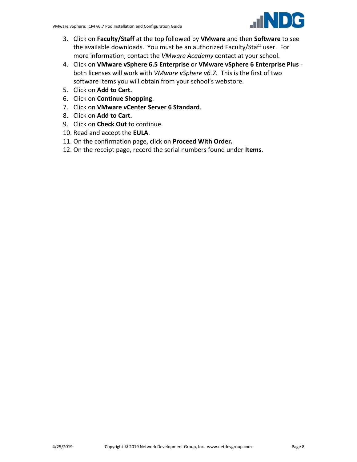- 3. Click on **Faculty/Staff** at the top followed by **VMware** and then **Software** to see the available downloads. You must be an authorized Faculty/Staff user. For more information, contact the *VMware Academy* contact at your school.
- 4. Click on **VMware vSphere 6.5 Enterprise** or **VMware vSphere 6 Enterprise Plus** both licenses will work with *VMware vSphere v6.7*. This is the first of two software items you will obtain from your school's webstore.
- 5. Click on **Add to Cart.**
- 6. Click on **Continue Shopping**.
- 7. Click on **VMware vCenter Server 6 Standard**.
- 8. Click on **Add to Cart.**
- 9. Click on **Check Out** to continue.
- 10. Read and accept the **EULA**.
- 11. On the confirmation page, click on **Proceed With Order.**
- 12. On the receipt page, record the serial numbers found under **Items**.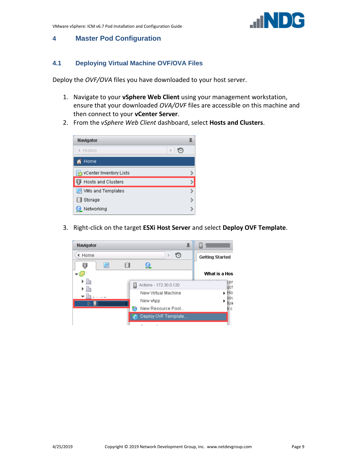#### <span id="page-8-0"></span>**4 Master Pod Configuration**

#### <span id="page-8-1"></span>**4.1 Deploying Virtual Machine OVF/OVA Files**

Deploy the *OVF/OVA* files you have downloaded to your host server.

- 1. Navigate to your **vSphere Web Client** using your management workstation, ensure that your downloaded *OVA/OVF* files are accessible on this machine and then connect to your **vCenter Server**.
- 2. From the *vSphere Web Client* dashboard, select **Hosts and Clusters**.

| Navigator                  |  |
|----------------------------|--|
| € History                  |  |
| Home                       |  |
| ia vCenter Inventory Lists |  |
| Hosts and Clusters         |  |
| D VMs and Templates        |  |
| Storage                    |  |
| Networking                 |  |

3. Right-click on the target **ESXi Host Server** and select **Deploy OVF Template**.

| Navigator  |                             | Ξ                      |
|------------|-----------------------------|------------------------|
| Home       | Þ<br>군데                     | <b>Getting Started</b> |
| Ū<br>剾     | Ħ<br>Ω                      |                        |
|            |                             | What is a Hos          |
| ▸ ⊫<br>lle | Actions - 172.30.0.120<br>Ξ | cor<br>uch             |
| 脂          | New Virtual Machine         | Ho                     |
| ▷<br>Ŀ,    | New vApp                    | 30 L<br>tua            |
|            | ِ<br>New Resource Pool      | k ci                   |
|            | Deploy OVF Template         |                        |
|            |                             |                        |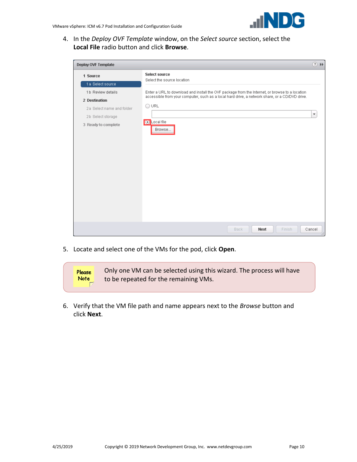4. In the *Deploy OVF Template* window, on the *Select source* section, select the **Local File** radio button and click **Browse**.

| Deploy OVF Template       |                                                                                                | $(?) \nArr$            |
|---------------------------|------------------------------------------------------------------------------------------------|------------------------|
| 1 Source                  | <b>Select source</b>                                                                           |                        |
| 1 a Select source         | Select the source location                                                                     |                        |
| 1b Review details         | Enter a URL to download and install the OVF package from the Internet, or browse to a location |                        |
| 2 Destination             | accessible from your computer, such as a local hard drive, a network share, or a CD/DVD drive. |                        |
| 2a Select name and folder | $\bigcirc$ URL                                                                                 |                        |
| 2b Select storage         |                                                                                                | $\overline{\mathbf v}$ |
| 3 Ready to complete       | C Local file<br>Browse                                                                         |                        |
|                           | Finish<br><b>Next</b><br><b>Back</b>                                                           | Cancel                 |

5. Locate and select one of the VMs for the pod, click **Open**.



6. Verify that the VM file path and name appears next to the *Browse* button and click **Next**.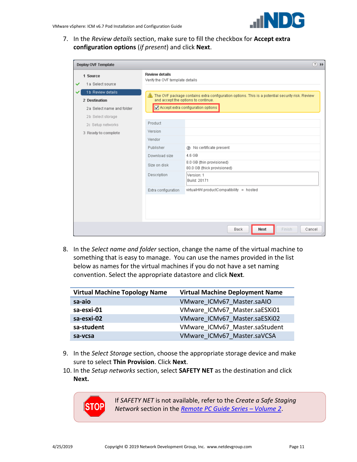

7. In the *Review details* section, make sure to fill the checkbox for **Accept extra configuration options** (*if present*) and click **Next**.

| $(?) \nArr$<br>Deploy OVF Template                              |                                                          |                                                                                                                                                                                          |  |  |
|-----------------------------------------------------------------|----------------------------------------------------------|------------------------------------------------------------------------------------------------------------------------------------------------------------------------------------------|--|--|
| 1 Source<br>1a Select source                                    | <b>Review details</b><br>Verify the OVF template details |                                                                                                                                                                                          |  |  |
| 1b Review details<br>2 Destination<br>2a Select name and folder |                                                          | $\bigwedge$ The OVF package contains extra configuration options. This is a potential security risk. Review<br>and accept the options to continue.<br>Accept extra configuration options |  |  |
| 2b Select storage                                               | Product                                                  |                                                                                                                                                                                          |  |  |
| 2c Setup networks<br>3 Ready to complete                        | Version                                                  |                                                                                                                                                                                          |  |  |
|                                                                 | Vendor<br>Publisher                                      | (2) No certificate present                                                                                                                                                               |  |  |
|                                                                 | Download size                                            | 4.6 GB                                                                                                                                                                                   |  |  |
|                                                                 | Size on disk                                             | 8.0 GB (thin provisioned)<br>80.0 GB (thick provisioned)                                                                                                                                 |  |  |
|                                                                 | Description                                              | Version: 1<br>Build: 20171                                                                                                                                                               |  |  |
|                                                                 | Extra configuration                                      | virtualHW.productCompatibility = hosted                                                                                                                                                  |  |  |
|                                                                 |                                                          |                                                                                                                                                                                          |  |  |
|                                                                 |                                                          |                                                                                                                                                                                          |  |  |
|                                                                 |                                                          | <b>Next</b><br>Finish<br><b>Back</b><br>Cancel                                                                                                                                           |  |  |

8. In the *Select name and folder* section, change the name of the virtual machine to something that is easy to manage. You can use the names provided in the list below as names for the virtual machines if you do not have a set naming convention. Select the appropriate datastore and click **Next**.

| <b>Virtual Machine Topology Name</b> | <b>Virtual Machine Deployment Name</b> |
|--------------------------------------|----------------------------------------|
| sa-aio                               | VMware ICMv67 Master.saAIO             |
| sa-esxi-01                           | VMware ICMv67 Master.saESXi01          |
| sa-esxi-02                           | VMware ICMv67 Master.saESXi02          |
| sa-student                           | VMware ICMv67 Master.saStudent         |
| sa-vcsa                              | VMware ICMv67 Master.saVCSA            |

- 9. In the *Select Storage* section, choose the appropriate storage device and make sure to select **Thin Provision**. Click **Next**.
- 10. In the *Setup networks* section, select **SAFETY NET** as the destination and click **Next.**

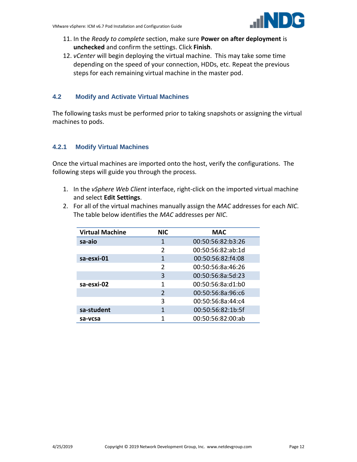

- 11. In the *Ready to complete* section, make sure **Power on after deployment** is **unchecked** and confirm the settings. Click **Finish**.
- 12. *vCenter* will begin deploying the virtual machine. This may take some time depending on the speed of your connection, HDDs, etc. Repeat the previous steps for each remaining virtual machine in the master pod.

## <span id="page-11-0"></span>**4.2 Modify and Activate Virtual Machines**

The following tasks must be performed prior to taking snapshots or assigning the virtual machines to pods.

## <span id="page-11-1"></span>**4.2.1 Modify Virtual Machines**

Once the virtual machines are imported onto the host, verify the configurations. The following steps will guide you through the process.

- 1. In the *vSphere Web Client* interface, right-click on the imported virtual machine and select **Edit Settings**.
- 2. For all of the virtual machines manually assign the *MAC* addresses for each *NIC*. The table below identifies the *MAC* addresses per *NIC*.

| <b>Virtual Machine</b> | <b>NIC</b>    | <b>MAC</b>        |
|------------------------|---------------|-------------------|
| sa-aio                 | 1             | 00:50:56:82:b3:26 |
|                        | $\mathfrak z$ | 00:50:56:82:ab:1d |
| sa-esxi-01             | 1             | 00:50:56:82:f4:08 |
|                        | $\mathfrak z$ | 00:50:56:8a:46:26 |
|                        | 3             | 00:50:56:8a:5d:23 |
| sa-esxi-02             | 1             | 00:50:56:8a:d1:b0 |
|                        | $\mathcal{P}$ | 00:50:56:8a:96:c6 |
|                        | ς             | 00:50:56:8a:44:c4 |
| sa-student             | 1             | 00:50:56:82:1b:5f |
| sa-vcsa                |               | 00:50:56:82:00:ab |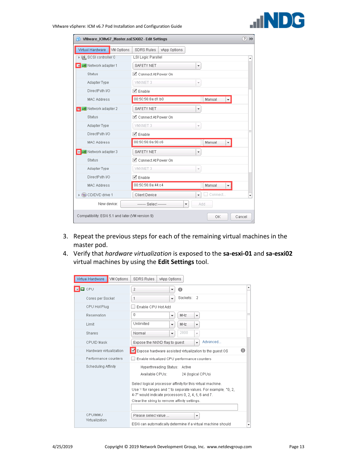

| VMware_ICMv67_Master.saESXi02 - Edit Settings<br>恤 |                                    | ?      |
|----------------------------------------------------|------------------------------------|--------|
| Virtual Hardware<br><b>VM Options</b>              | <b>SDRS Rules</b><br>vApp Options  |        |
| ▶ 델 SCSI controller 0                              | LSI Logic Parallel                 | A      |
| <b>S A</b> Network adapter 1                       | <b>SAFETY NET</b><br>÷             |        |
| Status                                             | └ Connect At Power On              |        |
| Adapter Type                                       | VMXNET 3                           |        |
| DirectPath I/O                                     | √ Enable                           |        |
| <b>MAC Address</b>                                 | 00:50:56:8a:d1:b0<br>Manual<br>÷   |        |
| ▼ PI Network adapter 2                             | <b>SAFETY NET</b><br>٠             |        |
| Status                                             | ◘ Connect At Power On              |        |
| Adapter Type                                       | VMXNET 3                           |        |
| DirectPath I/O                                     | $\blacktriangleright$ Enable       |        |
| <b>MAC Address</b>                                 | 00:50:56:8a:96:c6<br>Manual        |        |
| ▼ B Network adapter 3                              | <b>SAFETY NET</b>                  |        |
| Status                                             | Connect At Power On                |        |
| Adapter Type                                       | VMXNET 3                           |        |
| DirectPath I/O                                     | √ Enable                           |        |
| <b>MAC Address</b>                                 | 00:50:56:8a:44:c4<br>Manual        |        |
| ▶ ◎ CD/DVD drive 1                                 | Connect<br>Client Device<br>÷      | ٠      |
| New device:                                        | ------- Select -------<br>Add<br>÷ |        |
| Compatibility: ESXi 5.1 and later (VM version 9)   | OK                                 | Cancel |

- 3. Repeat the previous steps for each of the remaining virtual machines in the master pod.
- 4. Verify that *hardware virtualization* is exposed to the **sa-esxi-01** and **sa-esxi02**  virtual machines by using the **Edit Settings** tool.

| Virtual Hardware<br>VM Options<br><b>SDRS Rules</b><br>vApp Options |                                                                                                                                                                                                                                                 |   |  |  |
|---------------------------------------------------------------------|-------------------------------------------------------------------------------------------------------------------------------------------------------------------------------------------------------------------------------------------------|---|--|--|
| $\Box$ CPU                                                          | 2<br>0<br>▼                                                                                                                                                                                                                                     | ۸ |  |  |
| Cores per Socket                                                    | Sockets:<br>-2<br>1<br>$\overline{\phantom{a}}$                                                                                                                                                                                                 |   |  |  |
| CPU Hot Plug                                                        | Enable CPU Hot Add                                                                                                                                                                                                                              |   |  |  |
| Reservation                                                         | 0<br>MHZ<br>٠<br>$\overline{\mathbf{v}}$                                                                                                                                                                                                        | π |  |  |
| Limit                                                               | Unlimited<br>MHZ<br>$\overline{\phantom{a}}$<br>$\overline{\phantom{a}}$                                                                                                                                                                        |   |  |  |
| Shares                                                              | 2000<br>Normal<br>$\overline{\phantom{a}}$<br>$\overline{\mathbf{v}}$                                                                                                                                                                           |   |  |  |
| <b>CPUID Mask</b>                                                   | Advanced<br>Expose the NX/XD flag to guest<br>$\overline{\phantom{a}}$                                                                                                                                                                          |   |  |  |
| Hardware virtualization                                             | Expose hardware assisted virtualization to the guest OS<br>A                                                                                                                                                                                    |   |  |  |
| Performance counters                                                | Enable virtualized CPU performance counters                                                                                                                                                                                                     |   |  |  |
| Scheduling Affinity                                                 | Hyperthreading Status:<br>Active<br>Available CPUs:<br>24 (logical CPUs)                                                                                                                                                                        |   |  |  |
|                                                                     | Select logical processor affinity for this virtual machine.<br>Use <sup>1</sup> for ranges and "to separate values. For example, "0, 2,<br>4-7" would indicate processors 0, 2, 4, 5, 6 and 7.<br>Clear the string to remove affinity settings. |   |  |  |
| CPU/MMU<br>Virtualization                                           | Please select value<br>▼                                                                                                                                                                                                                        |   |  |  |
|                                                                     | ESXi can automatically determine if a virtual machine should                                                                                                                                                                                    |   |  |  |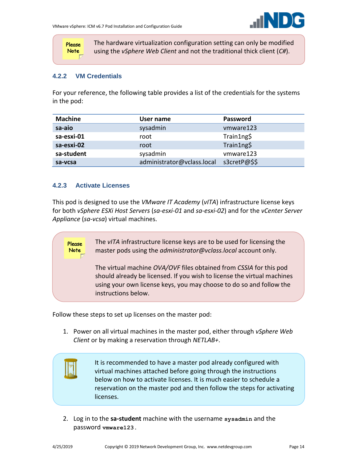

Please **Note** 

The hardware virtualization configuration setting can only be modified using the *vSphere Web Client* and not the traditional thick client (*C#*).

#### <span id="page-13-0"></span>**4.2.2 VM Credentials**

For your reference, the following table provides a list of the credentials for the systems in the pod:

| <b>Machine</b> | User name                  | Password     |
|----------------|----------------------------|--------------|
| sa-aio         | sysadmin                   | vmware123    |
| sa-esxi-01     | root                       | Train1ng\$   |
| sa-esxi-02     | root                       | Train1ng\$   |
| sa-student     | sysadmin                   | vmware123    |
| sa-vcsa        | administrator@vclass.local | s3cretP@\$\$ |

#### <span id="page-13-1"></span>**4.2.3 Activate Licenses**

Please **Note** 

This pod is designed to use the *VMware IT Academy* (*vITA*) infrastructure license keys for both *vSphere ESXi Host Servers* (*sa-esxi-01* and *sa-esxi-02*) and for the *vCenter Server Appliance* (*sa-vcsa*) virtual machines.

> The *vITA* infrastructure license keys are to be used for licensing the master pods using the *administrator@vclass.local* account only.

The virtual machine *OVA/OVF* files obtained from *CSSIA* for this pod should already be licensed. If you wish to license the virtual machines using your own license keys, you may choose to do so and follow the instructions below.

Follow these steps to set up licenses on the master pod:

1. Power on all virtual machines in the master pod, either through *vSphere Web Client* or by making a reservation through *NETLAB+*.



It is recommended to have a master pod already configured with virtual machines attached before going through the instructions below on how to activate licenses. It is much easier to schedule a reservation on the master pod and then follow the steps for activating licenses.

2. Log in to the **sa-student** machine with the username **sysadmin** and the password **vmware123.**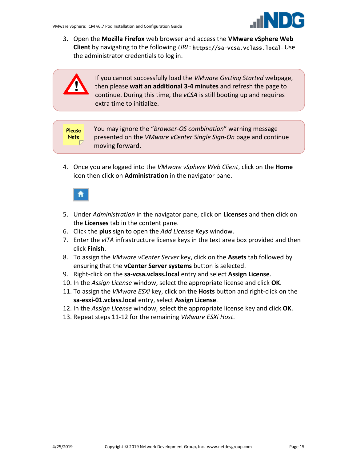3. Open the **Mozilla Firefox** web browser and access the **VMware vSphere Web Client** by navigating to the following *URL*: https://sa-vcsa.vclass.local. Use the administrator credentials to log in.



If you cannot successfully load the *VMware Getting Started* webpage, then please **wait an additional 3-4 minutes** and refresh the page to continue. During this time, the *vCSA* is still booting up and requires extra time to initialize.

**Please Note** 

You may ignore the "*browser-OS combination*" warning message presented on the *VMware vCenter Single Sign-On* page and continue moving forward.

4. Once you are logged into the *VMware vSphere Web Client*, click on the **Home** icon then click on **Administration** in the navigator pane.



- 5. Under *Administration* in the navigator pane, click on **Licenses** and then click on the **Licenses** tab in the content pane.
- 6. Click the **plus** sign to open the *Add License Keys* window.
- 7. Enter the *vITA* infrastructure license keys in the text area box provided and then click **Finish**.
- 8. To assign the *VMware vCenter Server* key, click on the **Assets** tab followed by ensuring that the **vCenter Server systems** button is selected.
- 9. Right-click on the **sa-vcsa.vclass.local** entry and select **Assign License**.
- 10. In the *Assign License* window, select the appropriate license and click **OK**.
- 11. To assign the *VMware ESXi* key, click on the **Hosts** button and right-click on the **sa-esxi-01.vclass.local** entry, select **Assign License**.
- 12. In the *Assign License* window, select the appropriate license key and click **OK**.
- 13. Repeat steps 11-12 for the remaining *VMware ESXi Host*.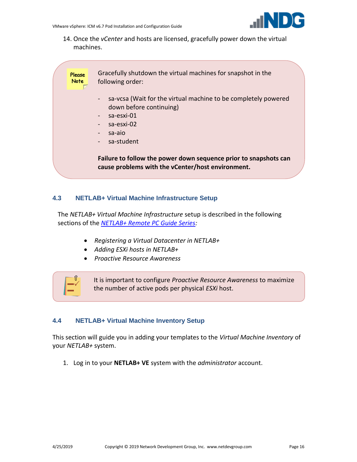

14. Once the *vCenter* and hosts are licensed, gracefully power down the virtual machines.

> Gracefully shutdown the virtual machines for snapshot in the following order:

- sa-vcsa (Wait for the virtual machine to be completely powered down before continuing)
- sa-esxi-01
- sa-esxi-02
- sa-aio

**Please Note** 

sa-student

**Failure to follow the power down sequence prior to snapshots can cause problems with the vCenter/host environment.** 

## <span id="page-15-0"></span>**4.3 NETLAB+ Virtual Machine Infrastructure Setup**

The *NETLAB+ Virtual Machine Infrastructure* setup is described in the following sections of the *[NETLAB+ Remote PC Guide Series:](http://www.netdevgroup.com/support/documentation/netlabve/)*

- *Registering a Virtual Datacenter in NETLAB+*
- *Adding ESXi hosts in NETLAB+*
- *Proactive Resource Awareness*



It is important to configure *Proactive Resource Awareness* to maximize the number of active pods per physical *ESXi* host.

## <span id="page-15-1"></span>**4.4 NETLAB+ Virtual Machine Inventory Setup**

This section will guide you in adding your templates to the *Virtual Machine Inventory* of your *NETLAB+* system.

1. Log in to your **NETLAB+ VE** system with the *administrator* account.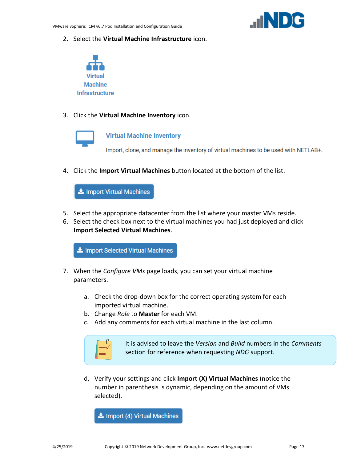2. Select the **Virtual Machine Infrastructure** icon.



3. Click the **Virtual Machine Inventory** icon.



#### **Virtual Machine Inventory**

Import, clone, and manage the inventory of virtual machines to be used with NETLAB+.

4. Click the **Import Virtual Machines** button located at the bottom of the list.

Import Virtual Machines

- 5. Select the appropriate datacenter from the list where your master VMs reside.
- 6. Select the check box next to the virtual machines you had just deployed and click **Import Selected Virtual Machines**.

Import Selected Virtual Machines

- 7. When the *Configure VMs* page loads, you can set your virtual machine parameters.
	- a. Check the drop-down box for the correct operating system for each imported virtual machine.
	- b. Change *Role* to **Master** for each VM.
	- c. Add any comments for each virtual machine in the last column.



It is advised to leave the *Version* and *Build* numbers in the *Comments* section for reference when requesting *NDG* support.

d. Verify your settings and click **Import (X) Virtual Machines** (notice the number in parenthesis is dynamic, depending on the amount of VMs selected).

Import (4) Virtual Machines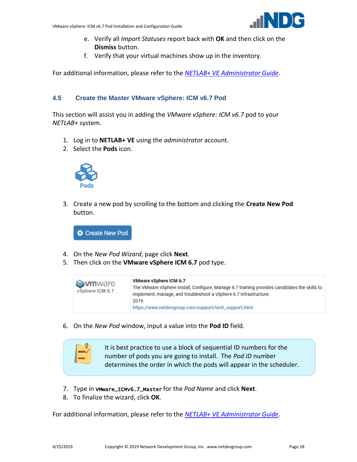

- e. Verify all *Import Statuses* report back with **OK** and then click on the **Dismiss** button.
- f. Verify that your virtual machines show up in the inventory.

For additional information, please refer to the *[NETLAB+ VE](http://www.netdevgroup.com/support/documentation/netlabve/netlabve_administrator_guide.pdf#nameddest=virtual_machine_infrastructure) Administrator Guide*.

#### <span id="page-17-0"></span>**4.5 Create the Master VMware vSphere: ICM v6.7 Pod**

This section will assist you in adding the *VMware vSphere: ICM v6.7* pod to your *NETLAB+* system.

- 1. Log in to **NETLAB+ VE** using the *administrator* account.
- 2. Select the **Pods** icon.



3. Create a new pod by scrolling to the bottom and clicking the **Create New Pod** button.

**O** Create New Pod

- 4. On the *New Pod Wizard*, page click **Next**.
- 5. Then click on the **VMware vSphere ICM 6.7** pod type.

| <b>Symmology</b><br>vSphere ICM 6.7 | <b>VMware vSphere ICM 6.7</b><br>The VMware vSphere Install, Configure, Manage 6.7 training provides candidates the skills to<br>implement, manage, and troubleshoot a vSphere 6.7 infrastructure.<br>2019<br>https://www.netdevgroup.com/support/tech_support.html |
|-------------------------------------|---------------------------------------------------------------------------------------------------------------------------------------------------------------------------------------------------------------------------------------------------------------------|
|                                     |                                                                                                                                                                                                                                                                     |

6. On the *New Pod* window, input a value into the **Pod ID** field.



- 7. Type in VMware\_ICMv6.7\_Master for the *Pod Name* and click **Next**.
- 8. To finalize the wizard, click **OK**.

For additional information, please refer to the *NETLAB+ VE [Administrator Guide](http://www.netdevgroup.com/support/documentation/netlabve/netlabve_administrator_guide.pdf)*.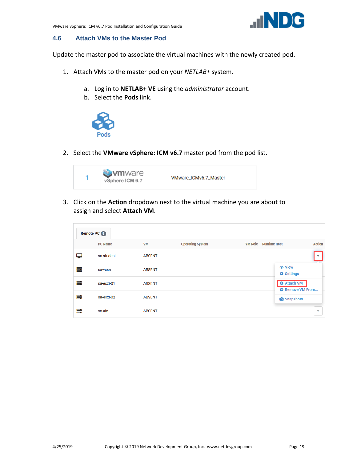

#### <span id="page-18-0"></span>**4.6 Attach VMs to the Master Pod**

Update the master pod to associate the virtual machines with the newly created pod.

- 1. Attach VMs to the master pod on your *NETLAB+* system.
	- a. Log in to **NETLAB+ VE** using the *administrator* account.
	- b. Select the **Pods** link.



2. Select the **VMware vSphere: ICM v6.7** master pod from the pod list.



3. Click on the **Action** dropdown next to the virtual machine you are about to assign and select **Attach VM**.

| Remote PC 5 |                |               |                         |                |                                               |                          |
|-------------|----------------|---------------|-------------------------|----------------|-----------------------------------------------|--------------------------|
|             | <b>PC Name</b> | <b>VM</b>     | <b>Operating System</b> | <b>VM Role</b> | <b>Runtime Host</b>                           | <b>Action</b>            |
|             | sa-student     | <b>ABSENT</b> |                         |                |                                               | $\overline{\phantom{a}}$ |
| ≣           | sa-vcsa        | <b>ABSENT</b> |                         |                | <b><math>♦</math></b> Settings                |                          |
| ≣           | sa-esxi-01     | <b>ABSENT</b> |                         |                | <b>O</b> Attach VM<br><b>O</b> Remove VM From |                          |
| ≣           | sa-esxi-02     | <b>ABSENT</b> |                         |                | <b>o</b> Snapshots                            |                          |
| ≣           | sa-aio         | <b>ABSENT</b> |                         |                |                                               | ▼                        |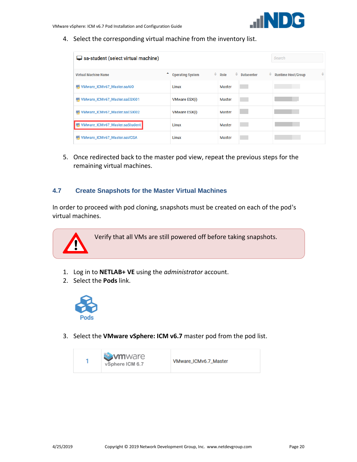

4. Select the corresponding virtual machine from the inventory list.

| $\Box$ sa-student (select virtual machine) |                         |                          |                        | Search                         |
|--------------------------------------------|-------------------------|--------------------------|------------------------|--------------------------------|
| <b>Virtual Machine Name</b>                | <b>Operating System</b> | $\hat{=}$ Role<br>$\div$ | ÷<br><b>Datacenter</b> | ≐<br><b>Runtime Host/Group</b> |
| WMware_ICMv67_Master.saAIO                 | Linux                   | Master                   |                        |                                |
| WWW.NOVERLICMV67_Master.saESXi01           | <b>VMware ESX(i)</b>    | Master                   |                        |                                |
| VMware_ICMv67_Master.saESXi02              | <b>VMware ESX(i)</b>    | Master                   |                        |                                |
| WMware_ICMv67_Master.saStudent             | Linux                   | Master                   |                        |                                |
| VMware_ICMv67_Master.saVCSA<br>L۳,         | Linux                   | Master                   |                        |                                |

5. Once redirected back to the master pod view, repeat the previous steps for the remaining virtual machines.

#### <span id="page-19-0"></span>**4.7 Create Snapshots for the Master Virtual Machines**

In order to proceed with pod cloning, snapshots must be created on each of the pod's virtual machines.



- 1. Log in to **NETLAB+ VE** using the *administrator* account.
- 2. Select the **Pods** link.



3. Select the **VMware vSphere: ICM v6.7** master pod from the pod list.

| <b>Symmare</b><br>vSphere ICM 6.7 | VMware_ICMv6.7_Master |
|-----------------------------------|-----------------------|
|-----------------------------------|-----------------------|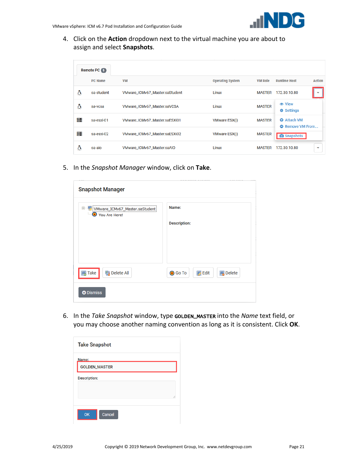4. Click on the **Action** dropdown next to the virtual machine you are about to assign and select **Snapshots**.

|   | Remote PC 5    |                                |                         |                |                                               |
|---|----------------|--------------------------------|-------------------------|----------------|-----------------------------------------------|
|   | <b>PC Name</b> | <b>VM</b>                      | <b>Operating System</b> | <b>VM Role</b> | <b>Runtime Host</b><br><b>Action</b>          |
| Δ | sa-student     | VMware_ICMv67_Master.saStudent | Linux                   | <b>MASTER</b>  | 172.30.10.80                                  |
| Δ | sa-vcsa        | VMware_ICMv67_Master.saVCSA    | Linux                   | <b>MASTER</b>  | <b><math>≩</math></b> Settings                |
| ≣ | sa-esxi-01     | VMware_ICMv67_Master.saESXi01  | <b>VMware ESX(i)</b>    | <b>MASTER</b>  | <b>O</b> Attach VM<br><b>O</b> Remove VM From |
| ≣ | sa-esxi-02     | VMware_ICMv67_Master.saESXi02  | <b>VMware ESX(i)</b>    | <b>MASTER</b>  | <b>O</b> Snapshots                            |
| Δ | sa-aio         | VMware ICMv67 Master.saAIO     | Linux                   | <b>MASTER</b>  | 172.30.10.80<br>۰                             |

5. In the *Snapshot Manager* window, click on **Take**.

| <b>Snapshot Manager</b>          |                     |
|----------------------------------|---------------------|
| D VMware_ICMv67_Master.saStudent | Name:               |
| You Are Here!                    | <b>Description:</b> |
| <b>陶</b> Delete All              | <b>●</b> Go To      |
| <b>B</b> Take                    | $\mathbb{Z}$ Edit   |
| <b>O</b> Dismiss                 | <b>B</b> Delete     |

6. In the *Take Snapshot* window, type GOLDEN\_MASTER into the *Name* text field, or you may choose another naming convention as long as it is consistent. Click **OK**.

| <b>Take Snapshot</b> |
|----------------------|
| Name:                |
| <b>GOLDEN_MASTER</b> |
| <b>Description:</b>  |
|                      |
| //                   |
| Cancel<br><b>OK</b>  |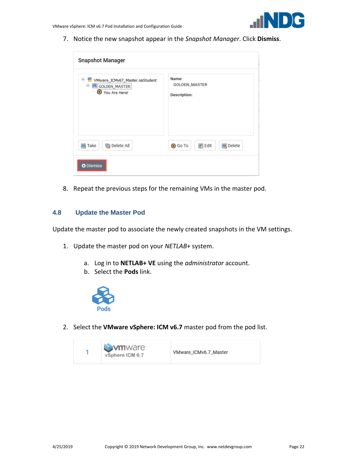

7. Notice the new snapshot appear in the *Snapshot Manager*. Click **Dismiss**.

| <b>Snapshot Manager</b>                                                          |                                                      |
|----------------------------------------------------------------------------------|------------------------------------------------------|
| Ė-Ų<br>VMware_ICMv67_Master.saStudent<br><b>E</b> GOLDEN_MASTER<br>You Are Here! | Name:<br><b>GOLDEN_MASTER</b><br><b>Description:</b> |
| <b>陶 Delete All</b><br><b>国 Take</b>                                             | <b>B</b> Edit<br><b>国</b> Delete<br><b>●</b> Go To   |
| <b>O</b> Dismiss                                                                 |                                                      |

8. Repeat the previous steps for the remaining VMs in the master pod.

#### <span id="page-21-0"></span>**4.8 Update the Master Pod**

Update the master pod to associate the newly created snapshots in the VM settings.

- 1. Update the master pod on your *NETLAB+* system.
	- a. Log in to **NETLAB+ VE** using the *administrator* account.
	- b. Select the **Pods** link.



2. Select the **VMware vSphere: ICM v6.7** master pod from the pod list.

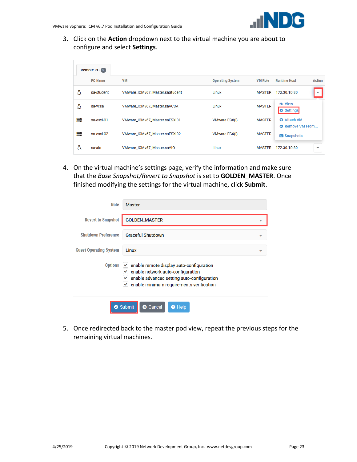3. Click on the **Action** dropdown next to the virtual machine you are about to configure and select **Settings**.

|   | <b>Remote PC 5</b> |                                |                         |                |                                               |
|---|--------------------|--------------------------------|-------------------------|----------------|-----------------------------------------------|
|   | <b>PC Name</b>     | <b>VM</b>                      | <b>Operating System</b> | <b>VM Role</b> | <b>Runtime Host</b><br><b>Action</b>          |
| Δ | sa-student         | VMware_ICMv67_Master.saStudent | Linux                   | <b>MASTER</b>  | 172.30.10.80                                  |
| Δ | sa-vcsa            | VMware_ICMv67_Master.saVCSA    | Linux                   | <b>MASTER</b>  | <b> ■</b> View<br><b>D</b> Settings           |
| ≣ | sa-esxi-01         | VMware_ICMv67_Master.saESXi01  | <b>VMware ESX(i)</b>    | <b>MASTER</b>  | <b>O</b> Attach VM<br><b>O</b> Remove VM From |
| ≣ | sa-esxi-02         | VMware_ICMv67_Master.saESXi02  | <b>VMware ESX(i)</b>    | <b>MASTER</b>  | <b>O</b> Snapshots                            |
| ۵ | sa-aio             | VMware ICMv67 Master.saAIO     | Linux                   | <b>MASTER</b>  | 172.30.10.80<br>۰                             |

4. On the virtual machine's settings page, verify the information and make sure that the *Base Snapshot/Revert to Snapshot* is set to **GOLDEN\_MASTER**. Once finished modifying the settings for the virtual machine, click **Submit**.

| Role                          | <b>Master</b>                                                                                                                                                                     |
|-------------------------------|-----------------------------------------------------------------------------------------------------------------------------------------------------------------------------------|
| <b>Revert to Snapshot</b>     | <b>GOLDEN_MASTER</b>                                                                                                                                                              |
| <b>Shutdown Preference</b>    | <b>Graceful Shutdown</b>                                                                                                                                                          |
| <b>Guest Operating System</b> | Linux<br>▼                                                                                                                                                                        |
| <b>Options</b>                | enable remote display auto-configuration<br>✓<br>enable network auto-configuration<br>enable advanced setting auto-configuration<br>enable minimum requirements verification<br>✓ |
| Ø                             | Submit<br><sup>O</sup> Help<br>Cancel<br>突                                                                                                                                        |

5. Once redirected back to the master pod view, repeat the previous steps for the remaining virtual machines.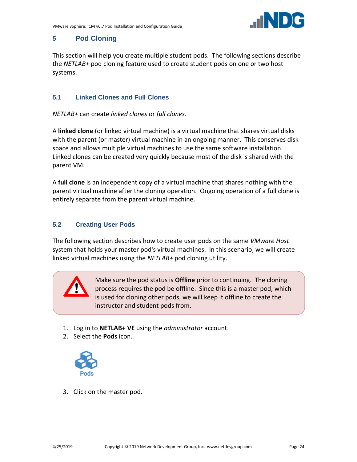

## <span id="page-23-0"></span>**5 Pod Cloning**

This section will help you create multiple student pods. The following sections describe the *NETLAB+* pod cloning feature used to create student pods on one or two host systems.

## <span id="page-23-1"></span>**5.1 Linked Clones and Full Clones**

*NETLAB+* can create *linked clones* or *full clones*.

A **linked clone** (or linked virtual machine) is a virtual machine that shares virtual disks with the parent (or master) virtual machine in an ongoing manner. This conserves disk space and allows multiple virtual machines to use the same software installation. Linked clones can be created very quickly because most of the disk is shared with the parent VM.

A **full clone** is an independent copy of a virtual machine that shares nothing with the parent virtual machine after the cloning operation. Ongoing operation of a full clone is entirely separate from the parent virtual machine.

## <span id="page-23-2"></span>**5.2 Creating User Pods**

The following section describes how to create user pods on the same *VMware Host* system that holds your master pod's virtual machines. In this scenario, we will create linked virtual machines using the *NETLAB+* pod cloning utility.



Make sure the pod status is **Offline** prior to continuing. The cloning process requires the pod be offline. Since this is a master pod, which is used for cloning other pods, we will keep it offline to create the instructor and student pods from.

- 1. Log in to **NETLAB+ VE** using the *administrator* account.
- 2. Select the **Pods** icon.



3. Click on the master pod.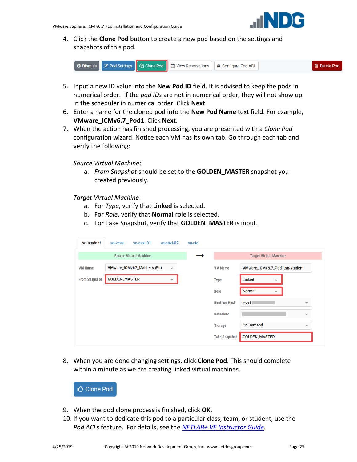

4. Click the **Clone Pod** button to create a new pod based on the settings and snapshots of this pod.



- 5. Input a new ID value into the **New Pod ID** field. It is advised to keep the pods in numerical order. If the *pod IDs* are not in numerical order, they will not show up in the scheduler in numerical order. Click **Next**.
- 6. Enter a name for the cloned pod into the **New Pod Name** text field. For example, **VMware\_ICMv6.7\_Pod1**. Click **Next**.
- 7. When the action has finished processing, you are presented with a *Clone Pod* configuration wizard. Notice each VM has its own tab. Go through each tab and verify the following:

*Source Virtual Machine*:

a. *From Snapshot* should be set to the **GOLDEN\_MASTER** snapshot you created previously.

*Target Virtual Machine*:

- a. For *Type*, verify that **Linked** is selected.
- b. For *Role*, verify that **Normal** role is selected.
- c. For Take Snapshot, verify that **GOLDEN\_MASTER** is input.

| sa-student           | sa-esxi-01<br>sa-vcsa         | sa-esxi-02               | sa-aio |                      |                                |                          |
|----------------------|-------------------------------|--------------------------|--------|----------------------|--------------------------------|--------------------------|
|                      | <b>Source Virtual Machine</b> |                          |        |                      | <b>Target Virtual Machine</b>  |                          |
| <b>VM Name</b>       | VMware_ICMv67_Master.saStu    | $\overline{\phantom{a}}$ |        | <b>VM Name</b>       | VMware_ICMv6.7_Pod1.sa-student |                          |
| <b>From Snapshot</b> | <b>GOLDEN_MASTER</b>          | $\overline{\phantom{0}}$ |        | <b>Type</b>          | <b>Linked</b><br>▼             |                          |
|                      |                               |                          |        | <b>Role</b>          | <b>Normal</b><br>▼             |                          |
|                      |                               |                          |        | <b>Runtime Host</b>  | Host                           | $\overline{\phantom{a}}$ |
|                      |                               |                          |        | <b>Datastore</b>     |                                | $\overline{\phantom{a}}$ |
|                      |                               |                          |        | <b>Storage</b>       | <b>On Demand</b>               | $\overline{\phantom{a}}$ |
|                      |                               |                          |        | <b>Take Snapshot</b> | <b>GOLDEN_MASTER</b>           |                          |

8. When you are done changing settings, click **Clone Pod**. This should complete within a minute as we are creating linked virtual machines.

**△ Clone Pod** 

- 9. When the pod clone process is finished, click **OK**.
- 10. If you want to dedicate this pod to a particular class, team, or student, use the *Pod ACLs* feature. For details, see the *[NETLAB+ VE Instructor](http://www.netdevgroup.com/support/documentation/netlabve/netlabve_instructor_guide.pdf#nameddest=manage_pod_acls) Guide.*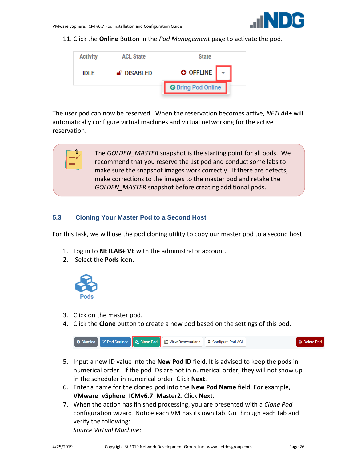

11. Click the **Online** Button in the *Pod Management* page to activate the pod.



The user pod can now be reserved. When the reservation becomes active, *NETLAB+* will automatically configure virtual machines and virtual networking for the active reservation.

> The *GOLDEN\_MASTER* snapshot is the starting point for all pods. We recommend that you reserve the 1st pod and conduct some labs to make sure the snapshot images work correctly. If there are defects, make corrections to the images to the master pod and retake the *GOLDEN\_MASTER* snapshot before creating additional pods.

#### <span id="page-25-0"></span>**5.3 Cloning Your Master Pod to a Second Host**

For this task, we will use the pod cloning utility to copy our master pod to a second host.

- 1. Log in to **NETLAB+ VE** with the administrator account.
- 2. Select the **Pods** icon.



'ſ

- 3. Click on the master pod.
- 4. Click the **Clone** button to create a new pod based on the settings of this pod.



- 5. Input a new ID value into the **New Pod ID** field. It is advised to keep the pods in numerical order. If the pod IDs are not in numerical order, they will not show up in the scheduler in numerical order. Click **Next**.
- 6. Enter a name for the cloned pod into the **New Pod Name** field. For example, **VMware\_vSphere\_ICMv6.7\_Master2**. Click **Next**.
- 7. When the action has finished processing, you are presented with a *Clone Pod* configuration wizard. Notice each VM has its own tab. Go through each tab and verify the following:

*Source Virtual Machine*: